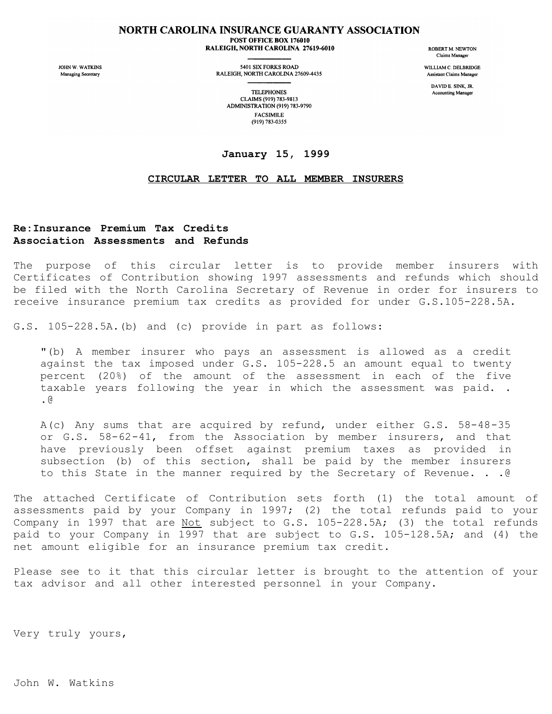## NORTH CAROLINA INSURANCE GUARANTY ASSOCIATION POST OFFICE BOX 176010

RALEIGH, NORTH CAROLINA 27619-6010

JOHN W. WATKINS Managing Secretary

5401 SIX FORKS ROAD RALEIGH, NORTH CAROLINA 27609-4435 **ROBERT M. NEWTON** Claims Manager

WILLIAM C. DELBRIDGE Assistant Claims Manager

> DAVID E. SINK, JR. **Accounting Manager**

**TELEPHONES** CLAIMS (919) 783-9813 ADMINISTRATION (919) 783-9790 **FACSIMILE** (919) 783-0355

## **January 15, 1999**

## **CIRCULAR LETTER TO ALL MEMBER INSURERS**

## **Re:Insurance Premium Tax Credits Association Assessments and Refunds**

The purpose of this circular letter is to provide member insurers with Certificates of Contribution showing 1997 assessments and refunds which should be filed with the North Carolina Secretary of Revenue in order for insurers to receive insurance premium tax credits as provided for under G.S.105-228.5A.

G.S. 105-228.5A.(b) and (c) provide in part as follows:

"(b) A member insurer who pays an assessment is allowed as a credit against the tax imposed under G.S. 105-228.5 an amount equal to twenty percent (20%) of the amount of the assessment in each of the five taxable years following the year in which the assessment was paid. . .@

A(c) Any sums that are acquired by refund, under either G.S. 58-48-35 or G.S. 58-62-41, from the Association by member insurers, and that have previously been offset against premium taxes as provided in subsection (b) of this section, shall be paid by the member insurers to this State in the manner required by the Secretary of Revenue. . .@

The attached Certificate of Contribution sets forth (1) the total amount of assessments paid by your Company in 1997; (2) the total refunds paid to your Company in 1997 that are Not subject to G.S. 105-228.5A; (3) the total refunds paid to your Company in 1997 that are subject to G.S. 105-128.5A; and (4) the net amount eligible for an insurance premium tax credit.

Please see to it that this circular letter is brought to the attention of your tax advisor and all other interested personnel in your Company.

Very truly yours,

John W. Watkins